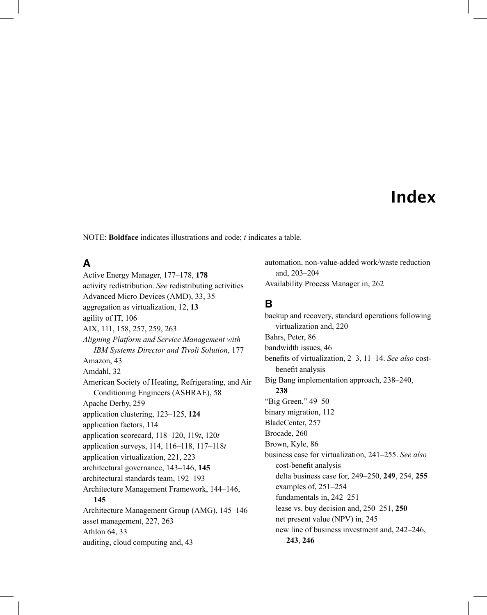# Index

NOTE: **Boldface** indicates illustrations and code; *t* indicates a table.

#### **A**

Active Energy Manager, 177–178, **178** activity redistribution. *See* redistributing activities Advanced Micro Devices (AMD), 33, 35 aggregation as virtualization, 12, **13** agility of IT, 106 AIX, 111, 158, 257, 259, 263 *Aligning Platform and Service Management with IBM Systems Director and Tivoli Solution*, 177 Amazon, 43 Amdahl, 32 American Society of Heating, Refrigerating, and Air Conditioning Engineers (ASHRAE), 58 Apache Derby, 259 application clustering, 123–125, **124** application factors, 114 application scorecard, 118–120, 119*t*, 120*t* application surveys, 114, 116–118, 117–118*t* application virtualization, 221, 223 architectural governance, 143–146, **145** architectural standards team, 192–193 Architecture Management Framework, 144–146, **145** Architecture Management Group (AMG), 145–146 asset management, 227, 263 Athlon 64, 33 auditing, cloud computing and, 43

automation, non-value-added work/waste reduction and, 203–204 Availability Process Manager in, 262

#### **B**

backup and recovery, standard operations following virtualization and, 220 Bahrs, Peter, 86 bandwidth issues, 46 benefits of virtualization, 2–3, 11–14. See also costbenefit analysis Big Bang implementation approach, 238–240, **238** "Big Green," 49–50 binary migration, 112 BladeCenter, 257 Brocade, 260 Brown, Kyle, 86 business case for virtualization, 241–255. *See also* cost-benefit analysis delta business case for, 249–250, **249**, 254, **255** examples of, 251–254 fundamentals in, 242–251 lease vs. buy decision and, 250–251, **250** net present value (NPV) in, 245 new line of business investment and, 242–246, **243**, **246**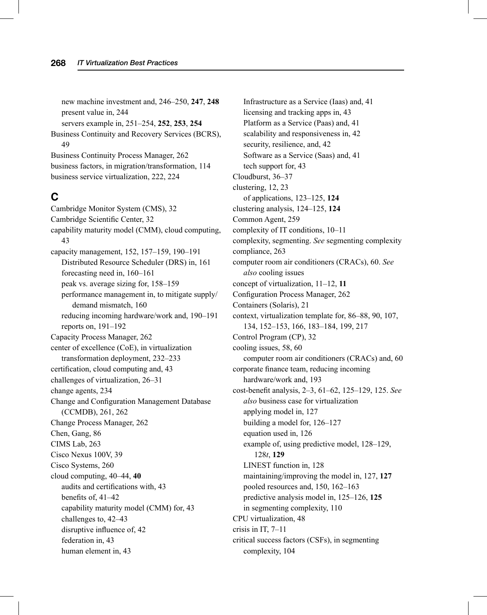new machine investment and, 246–250, **247**, **248** present value in, 244 servers example in, 251–254, **252**, **253**, **254** Business Continuity and Recovery Services (BCRS), 49 Business Continuity Process Manager, 262 business factors, in migration/transformation, 114 business service virtualization, 222, 224

## **C**

Cambridge Monitor System (CMS), 32 Cambridge Scientific Center, 32 capability maturity model (CMM), cloud computing, 43 capacity management, 152, 157–159, 190–191 Distributed Resource Scheduler (DRS) in, 161 forecasting need in, 160–161 peak vs. average sizing for, 158–159 performance management in, to mitigate supply/ demand mismatch, 160 reducing incoming hardware/work and, 190–191 reports on, 191–192 Capacity Process Manager, 262 center of excellence (CoE), in virtualization transformation deployment, 232–233 certification, cloud computing and, 43 challenges of virtualization, 26–31 change agents, 234 Change and Configuration Management Database (CCMDB), 261, 262 Change Process Manager, 262 Chen, Gang, 86 CIMS Lab, 263 Cisco Nexus 100V, 39 Cisco Systems, 260 cloud computing, 40–44, **40** audits and certifications with, 43 benefits of, 41-42 capability maturity model (CMM) for, 43 challenges to, 42–43 disruptive influence of, 42 federation in, 43 human element in, 43

Infrastructure as a Service (Iaas) and, 41 licensing and tracking apps in, 43 Platform as a Service (Paas) and, 41 scalability and responsiveness in, 42 security, resilience, and, 42 Software as a Service (Saas) and, 41 tech support for, 43 Cloudburst, 36–37 clustering, 12, 23 of applications, 123–125, **124** clustering analysis, 124–125, **124** Common Agent, 259 complexity of IT conditions, 10–11 complexity, segmenting. *See* segmenting complexity compliance, 263 computer room air conditioners (CRACs), 60. *See also* cooling issues concept of virtualization, 11–12, **11** Configuration Process Manager, 262 Containers (Solaris), 21 context, virtualization template for, 86–88, 90, 107, 134, 152–153, 166, 183–184, 199, 217 Control Program (CP), 32 cooling issues, 58, 60 computer room air conditioners (CRACs) and, 60 corporate finance team, reducing incoming hardware/work and, 193 cost-benefi t analysis, 2–3, 61–62, 125–129, 125. *See also* business case for virtualization applying model in, 127 building a model for, 126–127 equation used in, 126 example of, using predictive model, 128–129, 128*t*, **129** LINEST function in, 128 maintaining/improving the model in, 127, **127** pooled resources and, 150, 162–163 predictive analysis model in, 125–126, **125** in segmenting complexity, 110 CPU virtualization, 48 crisis in IT, 7–11 critical success factors (CSFs), in segmenting complexity, 104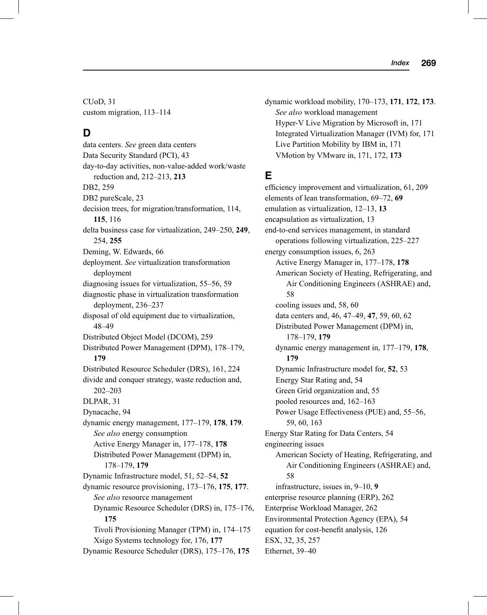CUoD, 31 custom migration, 113–114

#### **D**

data centers. *See* green data centers Data Security Standard (PCI), 43 day-to-day activities, non-value-added work/waste reduction and, 212–213, **213** DB2, 259 DB2 pureScale, 23 decision trees, for migration/transformation, 114, **115**, 116 delta business case for virtualization, 249–250, **249**, 254, **255** Deming, W. Edwards, 66 deployment. *See* virtualization transformation deployment diagnosing issues for virtualization, 55–56, 59 diagnostic phase in virtualization transformation deployment, 236–237 disposal of old equipment due to virtualization, 48–49 Distributed Object Model (DCOM), 259 Distributed Power Management (DPM), 178–179, **179** Distributed Resource Scheduler (DRS), 161, 224 divide and conquer strategy, waste reduction and, 202–203 DLPAR, 31 Dynacache, 94 dynamic energy management, 177–179, **178**, **179**. *See also* energy consumption Active Energy Manager in, 177–178, **178** Distributed Power Management (DPM) in, 178–179, **179** Dynamic Infrastructure model, 51, 52–54, **52** dynamic resource provisioning, 173–176, **175**, **177**. *See also* resource management Dynamic Resource Scheduler (DRS) in, 175–176, **175** Tivoli Provisioning Manager (TPM) in, 174–175 Xsigo Systems technology for, 176, **177** Dynamic Resource Scheduler (DRS), 175–176, **175**

dynamic workload mobility, 170–173, **171**, **172**, **173**. *See also* workload management Hyper-V Live Migration by Microsoft in, 171 Integrated Virtualization Manager (IVM) for, 171 Live Partition Mobility by IBM in, 171 VMotion by VMware in, 171, 172, **173**

## **E**

efficiency improvement and virtualization, 61, 209 elements of lean transformation, 69–72, **69** emulation as virtualization, 12–13, **13** encapsulation as virtualization, 13 end-to-end services management, in standard operations following virtualization, 225–227 energy consumption issues, 6, 263 Active Energy Manager in, 177–178, **178** American Society of Heating, Refrigerating, and Air Conditioning Engineers (ASHRAE) and, 58 cooling issues and, 58, 60 data centers and, 46, 47–49, **47**, 59, 60, 62 Distributed Power Management (DPM) in, 178–179, **179** dynamic energy management in, 177–179, **178**, **179** Dynamic Infrastructure model for, **52**, 53 Energy Star Rating and, 54 Green Grid organization and, 55 pooled resources and, 162–163 Power Usage Effectiveness (PUE) and, 55–56, 59, 60, 163 Energy Star Rating for Data Centers, 54 engineering issues American Society of Heating, Refrigerating, and Air Conditioning Engineers (ASHRAE) and, 58 infrastructure, issues in, 9–10, **9** enterprise resource planning (ERP), 262 Enterprise Workload Manager, 262 Environmental Protection Agency (EPA), 54 equation for cost-benefit analysis, 126 ESX, 32, 35, 257 Ethernet, 39–40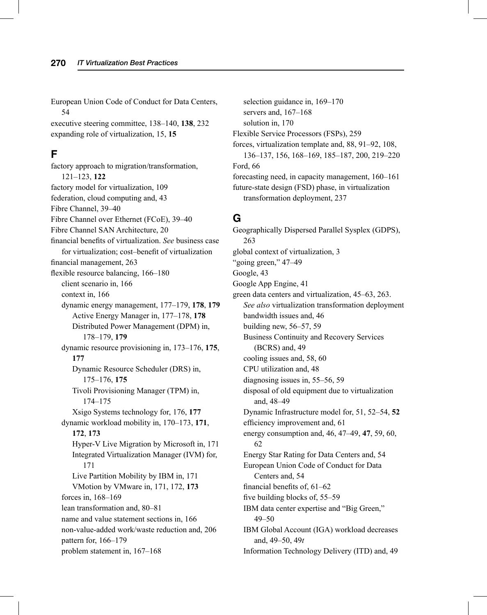European Union Code of Conduct for Data Centers, 54

executive steering committee, 138–140, **138**, 232 expanding role of virtualization, 15, **15**

## **F**

factory approach to migration/transformation, 121–123, **122** factory model for virtualization, 109 federation, cloud computing and, 43 Fibre Channel, 39–40 Fibre Channel over Ethernet (FCoE), 39–40 Fibre Channel SAN Architecture, 20 financial benefits of virtualization. *See* business case for virtualization; cost–benefit of virtualization financial management, 263 flexible resource balancing, 166–180 client scenario in, 166 context in, 166 dynamic energy management, 177–179, **178**, **179** Active Energy Manager in, 177–178, **178** Distributed Power Management (DPM) in, 178–179, **179** dynamic resource provisioning in, 173–176, **175**, **177** Dynamic Resource Scheduler (DRS) in, 175–176, **175** Tivoli Provisioning Manager (TPM) in, 174–175 Xsigo Systems technology for, 176, **177** dynamic workload mobility in, 170–173, **171**, **172**, **173** Hyper-V Live Migration by Microsoft in, 171 Integrated Virtualization Manager (IVM) for, 171 Live Partition Mobility by IBM in, 171 VMotion by VMware in, 171, 172, **173** forces in, 168–169 lean transformation and, 80–81 name and value statement sections in, 166 non-value-added work/waste reduction and, 206 pattern for, 166–179 problem statement in, 167–168

selection guidance in, 169–170 servers and, 167–168 solution in, 170 Flexible Service Processors (FSPs), 259 forces, virtualization template and, 88, 91–92, 108, 136–137, 156, 168–169, 185–187, 200, 219–220 Ford, 66 forecasting need, in capacity management, 160–161 future-state design (FSD) phase, in virtualization transformation deployment, 237

#### **G**

Geographically Dispersed Parallel Sysplex (GDPS), 263 global context of virtualization, 3 "going green," 47–49 Google, 43 Google App Engine, 41 green data centers and virtualization, 45–63, 263. *See also* virtualization transformation deployment bandwidth issues and, 46 building new, 56–57, 59 Business Continuity and Recovery Services (BCRS) and, 49 cooling issues and, 58, 60 CPU utilization and, 48 diagnosing issues in, 55–56, 59 disposal of old equipment due to virtualization and, 48–49 Dynamic Infrastructure model for, 51, 52–54, **52** efficiency improvement and, 61 energy consumption and, 46, 47–49, **47**, 59, 60, 62 Energy Star Rating for Data Centers and, 54 European Union Code of Conduct for Data Centers and, 54 financial benefits of,  $61-62$ five building blocks of, 55–59 IBM data center expertise and "Big Green," 49–50 IBM Global Account (IGA) workload decreases and, 49–50, 49*t*

Information Technology Delivery (ITD) and, 49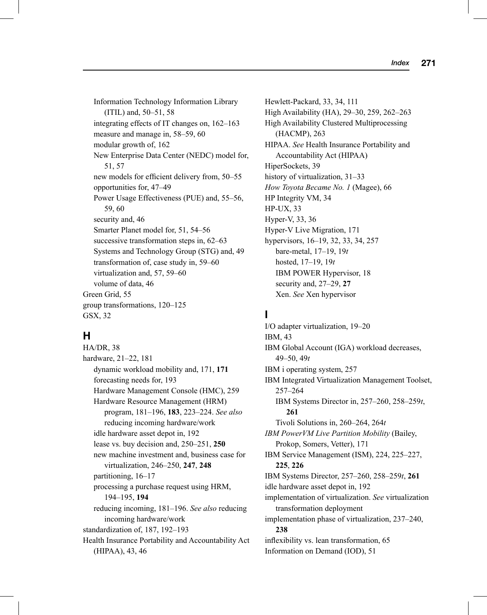Information Technology Information Library (ITIL) and, 50–51, 58 integrating effects of IT changes on, 162–163 measure and manage in, 58–59, 60 modular growth of, 162 New Enterprise Data Center (NEDC) model for, 51, 57 new models for efficient delivery from, 50–55 opportunities for, 47–49 Power Usage Effectiveness (PUE) and, 55–56, 59, 60 security and, 46 Smarter Planet model for, 51, 54–56 successive transformation steps in, 62–63 Systems and Technology Group (STG) and, 49 transformation of, case study in, 59–60 virtualization and, 57, 59–60 volume of data, 46 Green Grid, 55 group transformations, 120–125 GSX, 32

## **H**

HA/DR, 38 hardware, 21–22, 181 dynamic workload mobility and, 171, **171** forecasting needs for, 193 Hardware Management Console (HMC), 259 Hardware Resource Management (HRM) program, 181–196, **183**, 223–224. *See also* reducing incoming hardware/work idle hardware asset depot in, 192 lease vs. buy decision and, 250–251, **250** new machine investment and, business case for virtualization, 246–250, **247**, **248** partitioning, 16–17 processing a purchase request using HRM, 194–195, **194** reducing incoming, 181–196. *See also* reducing incoming hardware/work standardization of, 187, 192–193 Health Insurance Portability and Accountability Act (HIPAA), 43, 46

Hewlett-Packard, 33, 34, 111 High Availability (HA), 29–30, 259, 262–263 High Availability Clustered Multiprocessing (HACMP), 263 HIPAA. *See* Health Insurance Portability and Accountability Act (HIPAA) HiperSockets, 39 history of virtualization, 31–33 *How Toyota Became No. 1* (Magee), 66 HP Integrity VM, 34 HP-UX, 33 Hyper-V, 33, 36 Hyper-V Live Migration, 171 hypervisors, 16–19, 32, 33, 34, 257 bare-metal, 17–19, 19*t* hosted, 17–19, 19*t* IBM POWER Hypervisor, 18 security and, 27–29, **27** Xen. *See* Xen hypervisor

## **I**

I/O adapter virtualization, 19–20 IBM, 43 IBM Global Account (IGA) workload decreases, 49–50, 49*t* IBM i operating system, 257 IBM Integrated Virtualization Management Toolset, 257–264 IBM Systems Director in, 257–260, 258–259*t*, **261** Tivoli Solutions in, 260–264, 264*t IBM PowerVM Live Partition Mobility* (Bailey, Prokop, Somers, Vetter), 171 IBM Service Management (ISM), 224, 225–227, **225**, **226** IBM Systems Director, 257–260, 258–259*t*, **261** idle hardware asset depot in, 192 implementation of virtualization. *See* virtualization transformation deployment implementation phase of virtualization, 237–240, **238** inflexibility vs. lean transformation, 65 Information on Demand (IOD), 51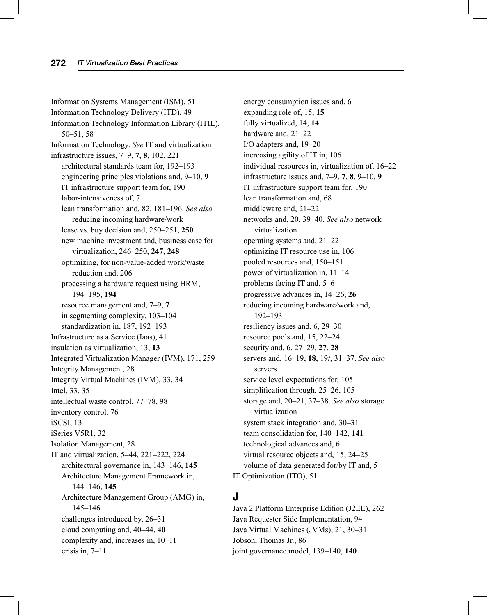Information Systems Management (ISM), 51 Information Technology Delivery (ITD), 49 Information Technology Information Library (ITIL), 50–51, 58 Information Technology. *See* IT and virtualization infrastructure issues, 7–9, **7**, **8**, 102, 221 architectural standards team for, 192–193 engineering principles violations and, 9–10, **9** IT infrastructure support team for, 190 labor-intensiveness of, 7 lean transformation and, 82, 181–196. *See also* reducing incoming hardware/work lease vs. buy decision and, 250–251, **250** new machine investment and, business case for virtualization, 246–250, **247**, **248** optimizing, for non-value-added work/waste reduction and, 206 processing a hardware request using HRM, 194–195, **194** resource management and, 7–9, **7** in segmenting complexity, 103–104 standardization in, 187, 192–193 Infrastructure as a Service (Iaas), 41 insulation as virtualization, 13, **13** Integrated Virtualization Manager (IVM), 171, 259 Integrity Management, 28 Integrity Virtual Machines (IVM), 33, 34 Intel, 33, 35 intellectual waste control, 77–78, 98 inventory control, 76 iSCSI, 13 iSeries V5R1, 32 Isolation Management, 28 IT and virtualization, 5–44, 221–222, 224 architectural governance in, 143–146, **145** Architecture Management Framework in, 144–146, **145** Architecture Management Group (AMG) in, 145–146 challenges introduced by, 26–31 cloud computing and, 40–44, **40** complexity and, increases in, 10–11 crisis in, 7–11

energy consumption issues and, 6 expanding role of, 15, **15** fully virtualized, 14, **14** hardware and, 21–22 I/O adapters and, 19–20 increasing agility of IT in, 106 individual resources in, virtualization of, 16–22 infrastructure issues and, 7–9, **7**, **8**, 9–10, **9** IT infrastructure support team for, 190 lean transformation and, 68 middleware and, 21–22 networks and, 20, 39–40. *See also* network virtualization operating systems and, 21–22 optimizing IT resource use in, 106 pooled resources and, 150–151 power of virtualization in, 11–14 problems facing IT and, 5–6 progressive advances in, 14–26, **26** reducing incoming hardware/work and, 192–193 resiliency issues and, 6, 29–30 resource pools and, 15, 22–24 security and, 6, 27–29, **27**, **28** servers and, 16–19, **18**, 19*t*, 31–37. *See also* servers service level expectations for, 105 simplification through,  $25-26$ , 105 storage and, 20–21, 37–38. *See also* storage virtualization system stack integration and, 30–31 team consolidation for, 140–142, **141** technological advances and, 6 virtual resource objects and, 15, 24–25 volume of data generated for/by IT and, 5 IT Optimization (ITO), 51

## **J**

Java 2 Platform Enterprise Edition (J2EE), 262 Java Requester Side Implementation, 94 Java Virtual Machines (JVMs), 21, 30–31 Jobson, Thomas Jr., 86 joint governance model, 139–140, **140**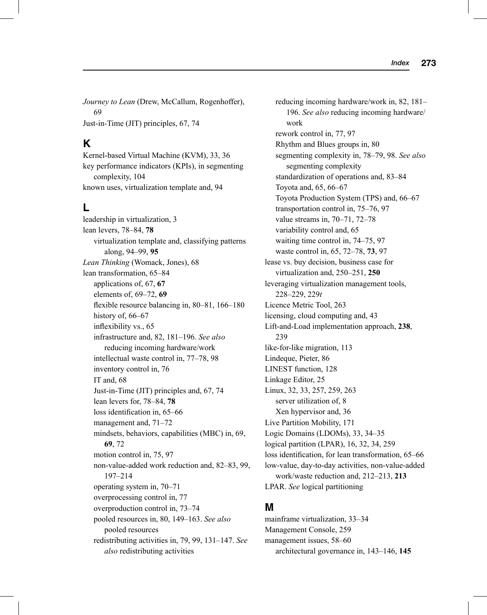*Journey to Lean* (Drew, McCallum, Rogenhoffer), 69 Just-in-Time (JIT) principles, 67, 74

#### **K**

Kernel-based Virtual Machine (KVM), 33, 36 key performance indicators (KPIs), in segmenting complexity, 104 known uses, virtualization template and, 94

## **L**

leadership in virtualization, 3 lean levers, 78–84, **78** virtualization template and, classifying patterns along, 94–99, **95** *Lean Thinking* (Womack, Jones), 68 lean transformation, 65–84 applications of, 67, **67** elements of, 69–72, **69** fl exible resource balancing in,  $80-81$ ,  $166-180$ history of, 66–67 inflexibility vs., 65 infrastructure and, 82, 181–196. *See also* reducing incoming hardware/work intellectual waste control in, 77–78, 98 inventory control in, 76 IT and, 68 Just-in-Time (JIT) principles and, 67, 74 lean levers for, 78–84, **78** loss identification in, 65–66 management and, 71–72 mindsets, behaviors, capabilities (MBC) in, 69, **69**, 72 motion control in, 75, 97 non-value-added work reduction and, 82–83, 99, 197–214 operating system in, 70–71 overprocessing control in, 77 overproduction control in, 73–74 pooled resources in, 80, 149–163. *See also* pooled resources redistributing activities in, 79, 99, 131–147. *See also* redistributing activities

reducing incoming hardware/work in, 82, 181– 196. *See also* reducing incoming hardware/ work rework control in, 77, 97 Rhythm and Blues groups in, 80 segmenting complexity in, 78–79, 98. *See also* segmenting complexity standardization of operations and, 83–84 Toyota and, 65, 66–67 Toyota Production System (TPS) and, 66–67 transportation control in, 75–76, 97 value streams in, 70–71, 72–78 variability control and, 65 waiting time control in, 74–75, 97 waste control in, 65, 72–78, **73**, 97 lease vs. buy decision, business case for virtualization and, 250–251, **250** leveraging virtualization management tools, 228–229, 229*t* Licence Metric Tool, 263 licensing, cloud computing and, 43 Lift-and-Load implementation approach, **238**, 239 like-for-like migration, 113 Lindeque, Pieter, 86 LINEST function, 128 Linkage Editor, 25 Linux, 32, 33, 257, 259, 263 server utilization of, 8 Xen hypervisor and, 36 Live Partition Mobility, 171 Logic Domains (LDOMs), 33, 34–35 logical partition (LPAR), 16, 32, 34, 259 loss identification, for lean transformation, 65–66 low-value, day-to-day activities, non-value-added work/waste reduction and, 212–213, **213** LPAR. *See* logical partitioning

#### **M**

mainframe virtualization, 33–34 Management Console, 259 management issues, 58–60 architectural governance in, 143–146, **145**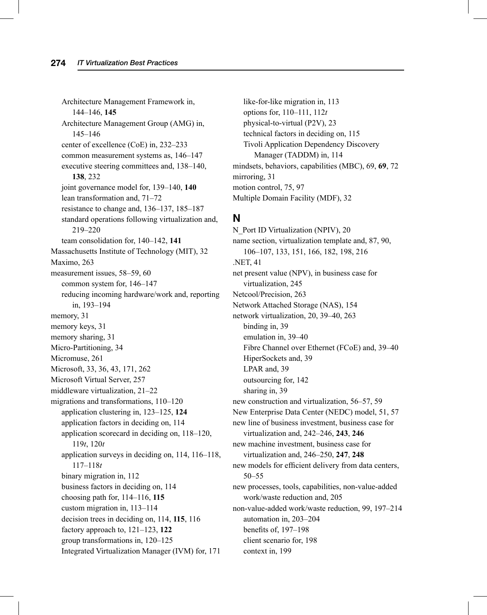Architecture Management Framework in, 144–146, **145** Architecture Management Group (AMG) in, 145–146 center of excellence (CoE) in, 232–233 common measurement systems as, 146–147 executive steering committees and, 138–140, **138**, 232 joint governance model for, 139–140, **140** lean transformation and, 71–72 resistance to change and, 136–137, 185–187 standard operations following virtualization and, 219–220 team consolidation for, 140–142, **141** Massachusetts Institute of Technology (MIT), 32 Maximo, 263 measurement issues, 58–59, 60 common system for, 146–147 reducing incoming hardware/work and, reporting in, 193–194 memory, 31 memory keys, 31 memory sharing, 31 Micro-Partitioning, 34 Micromuse, 261 Microsoft, 33, 36, 43, 171, 262 Microsoft Virtual Server, 257 middleware virtualization, 21–22 migrations and transformations, 110–120 application clustering in, 123–125, **124** application factors in deciding on, 114 application scorecard in deciding on, 118–120, 119*t*, 120*t* application surveys in deciding on, 114, 116–118, 117–118*t* binary migration in, 112 business factors in deciding on, 114 choosing path for, 114–116, **115** custom migration in, 113–114 decision trees in deciding on, 114, **115**, 116 factory approach to, 121–123, **122** group transformations in, 120–125 Integrated Virtualization Manager (IVM) for, 171

like-for-like migration in, 113 options for, 110–111, 112*t* physical-to-virtual (P2V), 23 technical factors in deciding on, 115 Tivoli Application Dependency Discovery Manager (TADDM) in, 114 mindsets, behaviors, capabilities (MBC), 69, **69**, 72 mirroring, 31 motion control, 75, 97 Multiple Domain Facility (MDF), 32

#### **N**

N\_Port ID Virtualization (NPIV), 20 name section, virtualization template and, 87, 90, 106–107, 133, 151, 166, 182, 198, 216 .NET, 41 net present value (NPV), in business case for virtualization, 245 Netcool/Precision, 263 Network Attached Storage (NAS), 154 network virtualization, 20, 39–40, 263 binding in, 39 emulation in, 39–40 Fibre Channel over Ethernet (FCoE) and, 39–40 HiperSockets and, 39 LPAR and, 39 outsourcing for, 142 sharing in, 39 new construction and virtualization, 56–57, 59 New Enterprise Data Center (NEDC) model, 51, 57 new line of business investment, business case for virtualization and, 242–246, **243**, **246** new machine investment, business case for virtualization and, 246–250, **247**, **248** new models for efficient delivery from data centers, 50–55 new processes, tools, capabilities, non-value-added work/waste reduction and, 205 non-value-added work/waste reduction, 99, 197–214 automation in, 203–204 benefits of, 197-198 client scenario for, 198 context in, 199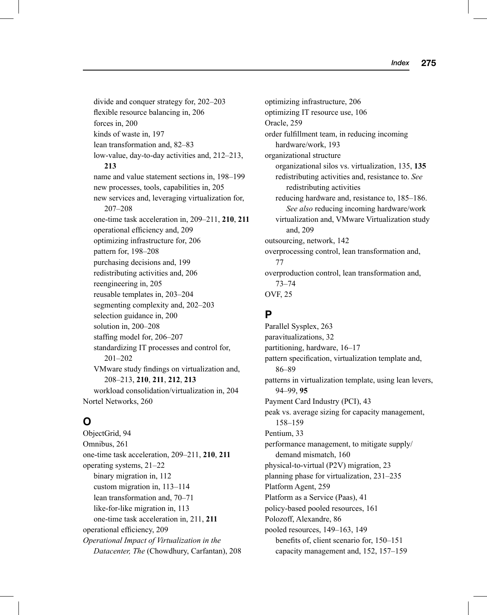divide and conquer strategy for, 202–203 flexible resource balancing in, 206 forces in, 200 kinds of waste in, 197 lean transformation and, 82–83 low-value, day-to-day activities and, 212–213, **213** name and value statement sections in, 198–199 new processes, tools, capabilities in, 205 new services and, leveraging virtualization for, 207–208 one-time task acceleration in, 209–211, **210**, **211** operational efficiency and, 209 optimizing infrastructure for, 206 pattern for, 198–208 purchasing decisions and, 199 redistributing activities and, 206 reengineering in, 205 reusable templates in, 203–204 segmenting complexity and, 202–203 selection guidance in, 200 solution in, 200–208 staffing model for, 206-207 standardizing IT processes and control for, 201–202 VMware study findings on virtualization and, 208–213, **210**, **211**, **212**, **213** workload consolidation/virtualization in, 204 Nortel Networks, 260

## **O**

ObjectGrid, 94 Omnibus, 261 one-time task acceleration, 209–211, **210**, **211** operating systems, 21–22 binary migration in, 112 custom migration in, 113–114 lean transformation and, 70–71 like-for-like migration in, 113 one-time task acceleration in, 211, **211** operational efficiency, 209 *Operational Impact of Virtualization in the Datacenter, The* (Chowdhury, Carfantan), 208 optimizing infrastructure, 206 optimizing IT resource use, 106 Oracle, 259 order fulfillment team, in reducing incoming hardware/work, 193 organizational structure organizational silos vs. virtualization, 135, **135** redistributing activities and, resistance to. *See*  redistributing activities reducing hardware and, resistance to, 185–186. *See also* reducing incoming hardware/work virtualization and, VMware Virtualization study and, 209 outsourcing, network, 142 overprocessing control, lean transformation and, 77 overproduction control, lean transformation and, 73–74 OVF, 25

## **P**

Parallel Sysplex, 263 paravitualizations, 32 partitioning, hardware, 16–17 pattern specification, virtualization template and, 86–89 patterns in virtualization template, using lean levers, 94–99, **95** Payment Card Industry (PCI), 43 peak vs. average sizing for capacity management, 158–159 Pentium, 33 performance management, to mitigate supply/ demand mismatch, 160 physical-to-virtual (P2V) migration, 23 planning phase for virtualization, 231–235 Platform Agent, 259 Platform as a Service (Paas), 41 policy-based pooled resources, 161 Polozoff, Alexandre, 86 pooled resources, 149–163, 149 benefits of, client scenario for, 150–151 capacity management and, 152, 157–159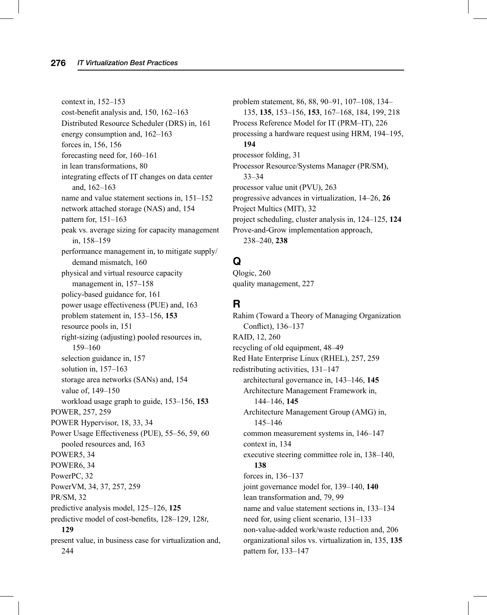context in, 152–153  $cost$ -benefit analysis and, 150, 162–163 Distributed Resource Scheduler (DRS) in, 161 energy consumption and, 162–163 forces in, 156, 156 forecasting need for, 160–161 in lean transformations, 80 integrating effects of IT changes on data center and, 162–163 name and value statement sections in, 151–152 network attached storage (NAS) and, 154 pattern for, 151–163 peak vs. average sizing for capacity management in, 158–159 performance management in, to mitigate supply/ demand mismatch, 160 physical and virtual resource capacity management in, 157–158 policy-based guidance for, 161 power usage effectiveness (PUE) and, 163 problem statement in, 153–156, **153** resource pools in, 151 right-sizing (adjusting) pooled resources in, 159–160 selection guidance in, 157 solution in, 157–163 storage area networks (SANs) and, 154 value of, 149–150 workload usage graph to guide, 153–156, **153** POWER, 257, 259 POWER Hypervisor, 18, 33, 34 Power Usage Effectiveness (PUE), 55–56, 59, 60 pooled resources and, 163 POWER5, 34 POWER6, 34 PowerPC, 32 PowerVM, 34, 37, 257, 259 PR/SM, 32 predictive analysis model, 125–126, **125** predictive model of cost-benefits, 128–129, 128t, **129** present value, in business case for virtualization and, 244

problem statement, 86, 88, 90–91, 107–108, 134– 135, **135**, 153–156, **153**, 167–168, 184, 199, 218 Process Reference Model for IT (PRM–IT), 226 processing a hardware request using HRM, 194–195, **194** processor folding, 31 Processor Resource/Systems Manager (PR/SM), 33–34 processor value unit (PVU), 263 progressive advances in virtualization, 14–26, **26** Project Multics (MIT), 32 project scheduling, cluster analysis in, 124–125, **124** Prove-and-Grow implementation approach, 238–240, **238**

## **Q**

Qlogic, 260 quality management, 227

## **R**

Rahim (Toward a Theory of Managing Organization Conflict), 136-137 RAID, 12, 260 recycling of old equipment, 48–49 Red Hate Enterprise Linux (RHEL), 257, 259 redistributing activities, 131–147 architectural governance in, 143–146, **145** Architecture Management Framework in, 144–146, **145** Architecture Management Group (AMG) in, 145–146 common measurement systems in, 146–147 context in, 134 executive steering committee role in, 138–140, **138** forces in, 136–137 joint governance model for, 139–140, **140** lean transformation and, 79, 99 name and value statement sections in, 133–134 need for, using client scenario, 131–133 non-value-added work/waste reduction and, 206 organizational silos vs. virtualization in, 135, **135** pattern for, 133–147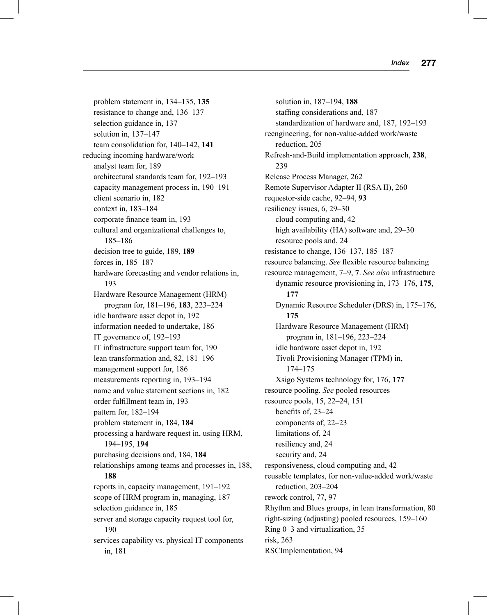problem statement in, 134–135, **135** resistance to change and, 136–137 selection guidance in, 137 solution in, 137–147 team consolidation for, 140–142, **141** reducing incoming hardware/work analyst team for, 189 architectural standards team for, 192–193 capacity management process in, 190–191 client scenario in, 182 context in, 183–184 corporate finance team in, 193 cultural and organizational challenges to, 185–186 decision tree to guide, 189, **189** forces in, 185–187 hardware forecasting and vendor relations in, 193 Hardware Resource Management (HRM) program for, 181–196, **183**, 223–224 idle hardware asset depot in, 192 information needed to undertake, 186 IT governance of, 192–193 IT infrastructure support team for, 190 lean transformation and, 82, 181–196 management support for, 186 measurements reporting in, 193–194 name and value statement sections in, 182 order fulfillment team in, 193 pattern for, 182–194 problem statement in, 184, **184** processing a hardware request in, using HRM, 194–195, **194** purchasing decisions and, 184, **184** relationships among teams and processes in, 188, **188** reports in, capacity management, 191–192 scope of HRM program in, managing, 187 selection guidance in, 185 server and storage capacity request tool for, 190 services capability vs. physical IT components in, 181

solution in, 187–194, **188** staffing considerations and, 187 standardization of hardware and, 187, 192–193 reengineering, for non-value-added work/waste reduction, 205 Refresh-and-Build implementation approach, **238**, 239 Release Process Manager, 262 Remote Supervisor Adapter II (RSA II), 260 requestor-side cache, 92–94, **93** resiliency issues, 6, 29–30 cloud computing and, 42 high availability (HA) software and, 29–30 resource pools and, 24 resistance to change, 136–137, 185–187 resource balancing. *See* flexible resource balancing resource management, 7–9, **7**. *See also* infrastructure dynamic resource provisioning in, 173–176, **175**, **177** Dynamic Resource Scheduler (DRS) in, 175–176, **175** Hardware Resource Management (HRM) program in, 181–196, 223–224 idle hardware asset depot in, 192 Tivoli Provisioning Manager (TPM) in, 174–175 Xsigo Systems technology for, 176, **177** resource pooling. *See* pooled resources resource pools, 15, 22–24, 151 benefits of, 23-24 components of, 22–23 limitations of, 24 resiliency and, 24 security and, 24 responsiveness, cloud computing and, 42 reusable templates, for non-value-added work/waste reduction, 203–204 rework control, 77, 97 Rhythm and Blues groups, in lean transformation, 80 right-sizing (adjusting) pooled resources, 159–160 Ring 0–3 and virtualization, 35 risk, 263 RSCImplementation, 94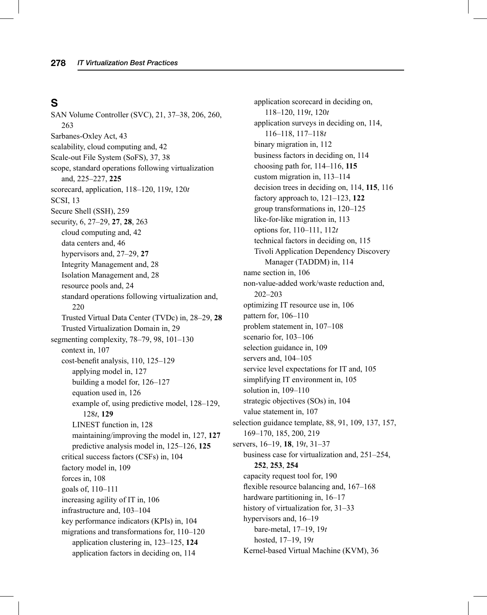# **S**

SAN Volume Controller (SVC), 21, 37–38, 206, 260, 263 Sarbanes-Oxley Act, 43 scalability, cloud computing and, 42 Scale-out File System (SoFS), 37, 38 scope, standard operations following virtualization and, 225–227, **225** scorecard, application, 118–120, 119*t*, 120*t* SCSI, 13 Secure Shell (SSH), 259 security, 6, 27–29, **27**, **28**, 263 cloud computing and, 42 data centers and, 46 hypervisors and, 27–29, **27** Integrity Management and, 28 Isolation Management and, 28 resource pools and, 24 standard operations following virtualization and, 220 Trusted Virtual Data Center (TVDc) in, 28–29, **28** Trusted Virtualization Domain in, 29 segmenting complexity, 78–79, 98, 101–130 context in, 107 cost-benefit analysis, 110, 125–129 applying model in, 127 building a model for, 126–127 equation used in, 126 example of, using predictive model, 128–129, 128*t*, **129** LINEST function in, 128 maintaining/improving the model in, 127, **127** predictive analysis model in, 125–126, **125** critical success factors (CSFs) in, 104 factory model in, 109 forces in, 108 goals of, 110–111 increasing agility of IT in, 106 infrastructure and, 103–104 key performance indicators (KPIs) in, 104 migrations and transformations for, 110–120 application clustering in, 123–125, **124** application factors in deciding on, 114

application scorecard in deciding on, 118–120, 119*t*, 120*t* application surveys in deciding on, 114, 116–118, 117–118*t* binary migration in, 112 business factors in deciding on, 114 choosing path for, 114–116, **115** custom migration in, 113–114 decision trees in deciding on, 114, **115**, 116 factory approach to, 121–123, **122** group transformations in, 120–125 like-for-like migration in, 113 options for, 110–111, 112*t* technical factors in deciding on, 115 Tivoli Application Dependency Discovery Manager (TADDM) in, 114 name section in, 106 non-value-added work/waste reduction and, 202–203 optimizing IT resource use in, 106 pattern for, 106–110 problem statement in, 107–108 scenario for, 103–106 selection guidance in, 109 servers and, 104–105 service level expectations for IT and, 105 simplifying IT environment in, 105 solution in, 109–110 strategic objectives (SOs) in, 104 value statement in, 107 selection guidance template, 88, 91, 109, 137, 157, 169–170, 185, 200, 219 servers, 16–19, **18**, 19*t*, 31–37 business case for virtualization and, 251–254, **252**, **253**, **254** capacity request tool for, 190 flexible resource balancing and,  $167-168$ hardware partitioning in, 16–17 history of virtualization for, 31–33 hypervisors and, 16–19 bare-metal, 17–19, 19*t* hosted, 17–19, 19*t* Kernel-based Virtual Machine (KVM), 36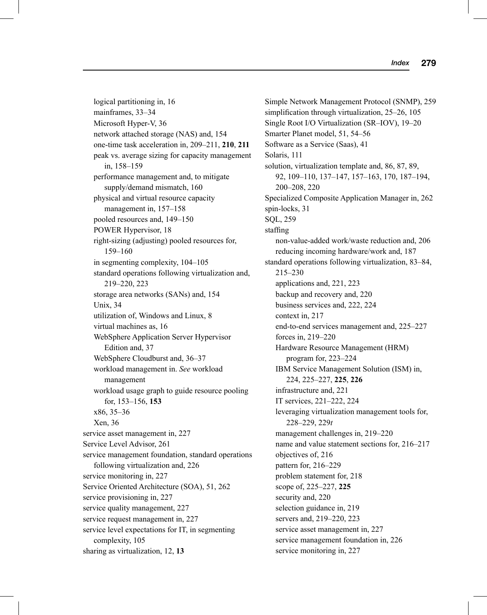logical partitioning in, 16 mainframes, 33–34 Microsoft Hyper-V, 36 network attached storage (NAS) and, 154 one-time task acceleration in, 209–211, **210**, **211** peak vs. average sizing for capacity management in, 158–159 performance management and, to mitigate supply/demand mismatch, 160 physical and virtual resource capacity management in, 157–158 pooled resources and, 149–150 POWER Hypervisor, 18 right-sizing (adjusting) pooled resources for, 159–160 in segmenting complexity, 104–105 standard operations following virtualization and, 219–220, 223 storage area networks (SANs) and, 154 Unix, 34 utilization of, Windows and Linux, 8 virtual machines as, 16 WebSphere Application Server Hypervisor Edition and, 37 WebSphere Cloudburst and, 36–37 workload management in. *See* workload management workload usage graph to guide resource pooling for, 153–156, **153** x86, 35–36 Xen, 36 service asset management in, 227 Service Level Advisor, 261 service management foundation, standard operations following virtualization and, 226 service monitoring in, 227 Service Oriented Architecture (SOA), 51, 262 service provisioning in, 227 service quality management, 227 service request management in, 227 service level expectations for IT, in segmenting complexity, 105 sharing as virtualization, 12, **13**

Simple Network Management Protocol (SNMP), 259 simplification through virtualization, 25–26, 105 Single Root I/O Virtualization (SR–IOV), 19–20 Smarter Planet model, 51, 54–56 Software as a Service (Saas), 41 Solaris, 111 solution, virtualization template and, 86, 87, 89, 92, 109–110, 137–147, 157–163, 170, 187–194, 200–208, 220 Specialized Composite Application Manager in, 262 spin-locks, 31 SQL, 259 staffing non-value-added work/waste reduction and, 206 reducing incoming hardware/work and, 187 standard operations following virtualization, 83–84, 215–230 applications and, 221, 223 backup and recovery and, 220 business services and, 222, 224 context in, 217 end-to-end services management and, 225–227 forces in, 219–220 Hardware Resource Management (HRM) program for, 223–224 IBM Service Management Solution (ISM) in, 224, 225–227, **225**, **226** infrastructure and, 221 IT services, 221–222, 224 leveraging virtualization management tools for, 228–229, 229*t* management challenges in, 219–220 name and value statement sections for, 216–217 objectives of, 216 pattern for, 216–229 problem statement for, 218 scope of, 225–227, **225** security and, 220 selection guidance in, 219 servers and, 219–220, 223 service asset management in, 227 service management foundation in, 226 service monitoring in, 227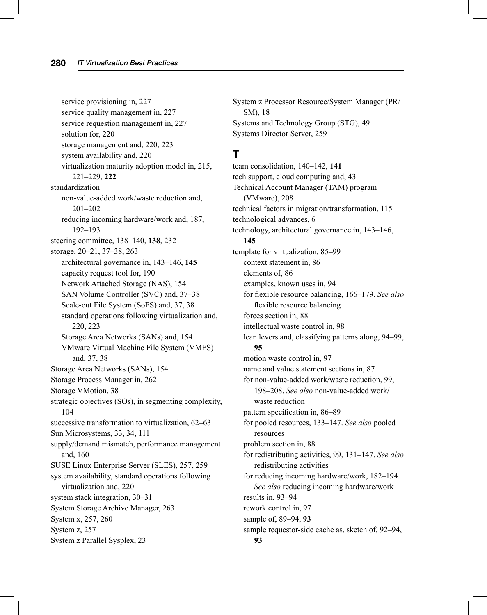service provisioning in, 227 service quality management in, 227 service requestion management in, 227 solution for, 220 storage management and, 220, 223 system availability and, 220 virtualization maturity adoption model in, 215, 221–229, **222** standardization non-value-added work/waste reduction and, 201–202 reducing incoming hardware/work and, 187, 192–193 steering committee, 138–140, **138**, 232 storage, 20–21, 37–38, 263 architectural governance in, 143–146, **145** capacity request tool for, 190 Network Attached Storage (NAS), 154 SAN Volume Controller (SVC) and, 37–38 Scale-out File System (SoFS) and, 37, 38 standard operations following virtualization and, 220, 223 Storage Area Networks (SANs) and, 154 VMware Virtual Machine File System (VMFS) and, 37, 38 Storage Area Networks (SANs), 154 Storage Process Manager in, 262 Storage VMotion, 38 strategic objectives (SOs), in segmenting complexity, 104 successive transformation to virtualization, 62–63 Sun Microsystems, 33, 34, 111 supply/demand mismatch, performance management and, 160 SUSE Linux Enterprise Server (SLES), 257, 259 system availability, standard operations following virtualization and, 220 system stack integration, 30–31 System Storage Archive Manager, 263 System x, 257, 260 System z, 257 System z Parallel Sysplex, 23

System z Processor Resource/System Manager (PR/ SM), 18 Systems and Technology Group (STG), 49 Systems Director Server, 259

#### **T**

team consolidation, 140–142, **141** tech support, cloud computing and, 43 Technical Account Manager (TAM) program (VMware), 208 technical factors in migration/transformation, 115 technological advances, 6 technology, architectural governance in, 143–146, **145** template for virtualization, 85–99 context statement in, 86 elements of, 86 examples, known uses in, 94 for flexible resource balancing, 166-179. See also flexible resource balancing forces section in, 88 intellectual waste control in, 98 lean levers and, classifying patterns along, 94–99, **95** motion waste control in, 97 name and value statement sections in, 87 for non-value-added work/waste reduction, 99, 198–208. *See also* non-value-added work/ waste reduction pattern specification in, 86–89 for pooled resources, 133–147. *See also* pooled resources problem section in, 88 for redistributing activities, 99, 131–147. *See also* redistributing activities for reducing incoming hardware/work, 182–194. *See also* reducing incoming hardware/work results in, 93–94 rework control in, 97 sample of, 89–94, **93** sample requestor-side cache as, sketch of, 92–94, **93**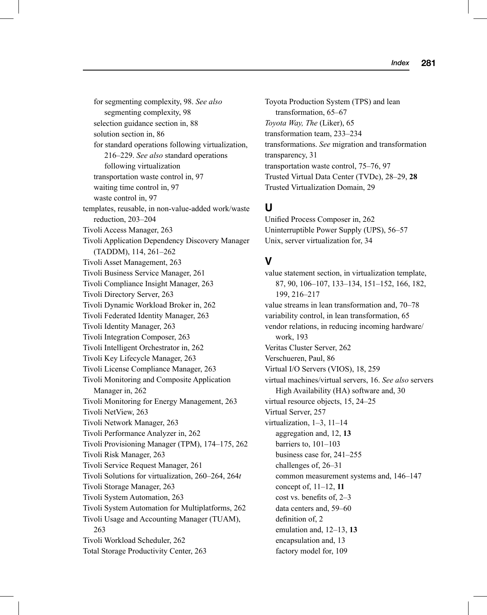for segmenting complexity, 98. *See also* segmenting complexity, 98 selection guidance section in, 88 solution section in, 86 for standard operations following virtualization, 216–229. *See also* standard operations following virtualization transportation waste control in, 97 waiting time control in, 97 waste control in, 97 templates, reusable, in non-value-added work/waste reduction, 203–204 Tivoli Access Manager, 263 Tivoli Application Dependency Discovery Manager (TADDM), 114, 261–262 Tivoli Asset Management, 263 Tivoli Business Service Manager, 261 Tivoli Compliance Insight Manager, 263 Tivoli Directory Server, 263 Tivoli Dynamic Workload Broker in, 262 Tivoli Federated Identity Manager, 263 Tivoli Identity Manager, 263 Tivoli Integration Composer, 263 Tivoli Intelligent Orchestrator in, 262 Tivoli Key Lifecycle Manager, 263 Tivoli License Compliance Manager, 263 Tivoli Monitoring and Composite Application Manager in, 262 Tivoli Monitoring for Energy Management, 263 Tivoli NetView, 263 Tivoli Network Manager, 263 Tivoli Performance Analyzer in, 262 Tivoli Provisioning Manager (TPM), 174–175, 262 Tivoli Risk Manager, 263 Tivoli Service Request Manager, 261 Tivoli Solutions for virtualization, 260–264, 264*t* Tivoli Storage Manager, 263 Tivoli System Automation, 263 Tivoli System Automation for Multiplatforms, 262 Tivoli Usage and Accounting Manager (TUAM), 263 Tivoli Workload Scheduler, 262 Total Storage Productivity Center, 263

Toyota Production System (TPS) and lean transformation, 65–67 *Toyota Way, The* (Liker), 65 transformation team, 233–234 transformations. *See* migration and transformation transparency, 31 transportation waste control, 75–76, 97 Trusted Virtual Data Center (TVDc), 28–29, **28** Trusted Virtualization Domain, 29

## **U**

Unified Process Composer in, 262 Uninterruptible Power Supply (UPS), 56–57 Unix, server virtualization for, 34

## **V**

value statement section, in virtualization template, 87, 90, 106–107, 133–134, 151–152, 166, 182, 199, 216–217 value streams in lean transformation and, 70–78 variability control, in lean transformation, 65 vendor relations, in reducing incoming hardware/ work, 193 Veritas Cluster Server, 262 Verschueren, Paul, 86 Virtual I/O Servers (VIOS), 18, 259 virtual machines/virtual servers, 16. *See also* servers High Availability (HA) software and, 30 virtual resource objects, 15, 24–25 Virtual Server, 257 virtualization, 1–3, 11–14 aggregation and, 12, **13** barriers to, 101–103 business case for, 241–255 challenges of, 26–31 common measurement systems and, 146–147 concept of, 11–12, **11** cost vs. benefits of, 2-3 data centers and, 59–60 definition of, 2 emulation and, 12–13, **13** encapsulation and, 13 factory model for, 109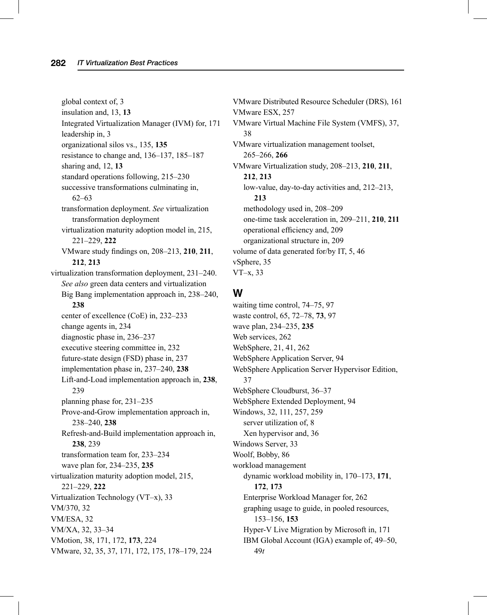global context of, 3 insulation and, 13, **13** Integrated Virtualization Manager (IVM) for, 171 leadership in, 3 organizational silos vs., 135, **135** resistance to change and, 136–137, 185–187 sharing and, 12, **13** standard operations following, 215–230 successive transformations culminating in, 62–63 transformation deployment. *See* virtualization transformation deployment virtualization maturity adoption model in, 215, 221–229, **222** VMware study fi ndings on, 208–213, **210**, **211**, **212**, **213** virtualization transformation deployment, 231–240. *See also* green data centers and virtualization Big Bang implementation approach in, 238–240, **238** center of excellence (CoE) in, 232–233 change agents in, 234 diagnostic phase in, 236–237 executive steering committee in, 232 future-state design (FSD) phase in, 237 implementation phase in, 237–240, **238** Lift-and-Load implementation approach in, **238**, 239 planning phase for, 231–235 Prove-and-Grow implementation approach in, 238–240, **238** Refresh-and-Build implementation approach in, **238**, 239 transformation team for, 233–234 wave plan for, 234–235, **235** virtualization maturity adoption model, 215, 221–229, **222** Virtualization Technology (VT–x), 33 VM/370, 32 VM/ESA, 32 VM/XA, 32, 33–34 VMotion, 38, 171, 172, **173**, 224 VMware, 32, 35, 37, 171, 172, 175, 178–179, 224

VMware Distributed Resource Scheduler (DRS), 161 VMware ESX, 257 VMware Virtual Machine File System (VMFS), 37, 38 VMware virtualization management toolset, 265–266, **266** VMware Virtualization study, 208–213, **210**, **211**, **212**, **213** low-value, day-to-day activities and, 212–213, **213** methodology used in, 208–209 one-time task acceleration in, 209–211, **210**, **211** operational efficiency and, 209 organizational structure in, 209 volume of data generated for/by IT, 5, 46 vSphere, 35 VT–x, 33

#### **W**

waiting time control, 74–75, 97 waste control, 65, 72–78, **73**, 97 wave plan, 234–235, **235** Web services, 262 WebSphere, 21, 41, 262 WebSphere Application Server, 94 WebSphere Application Server Hypervisor Edition, 37 WebSphere Cloudburst, 36–37 WebSphere Extended Deployment, 94 Windows, 32, 111, 257, 259 server utilization of, 8 Xen hypervisor and, 36 Windows Server, 33 Woolf, Bobby, 86 workload management dynamic workload mobility in, 170–173, **171**, **172**, **173** Enterprise Workload Manager for, 262 graphing usage to guide, in pooled resources, 153–156, **153** Hyper-V Live Migration by Microsoft in, 171 IBM Global Account (IGA) example of, 49–50, 49*t*